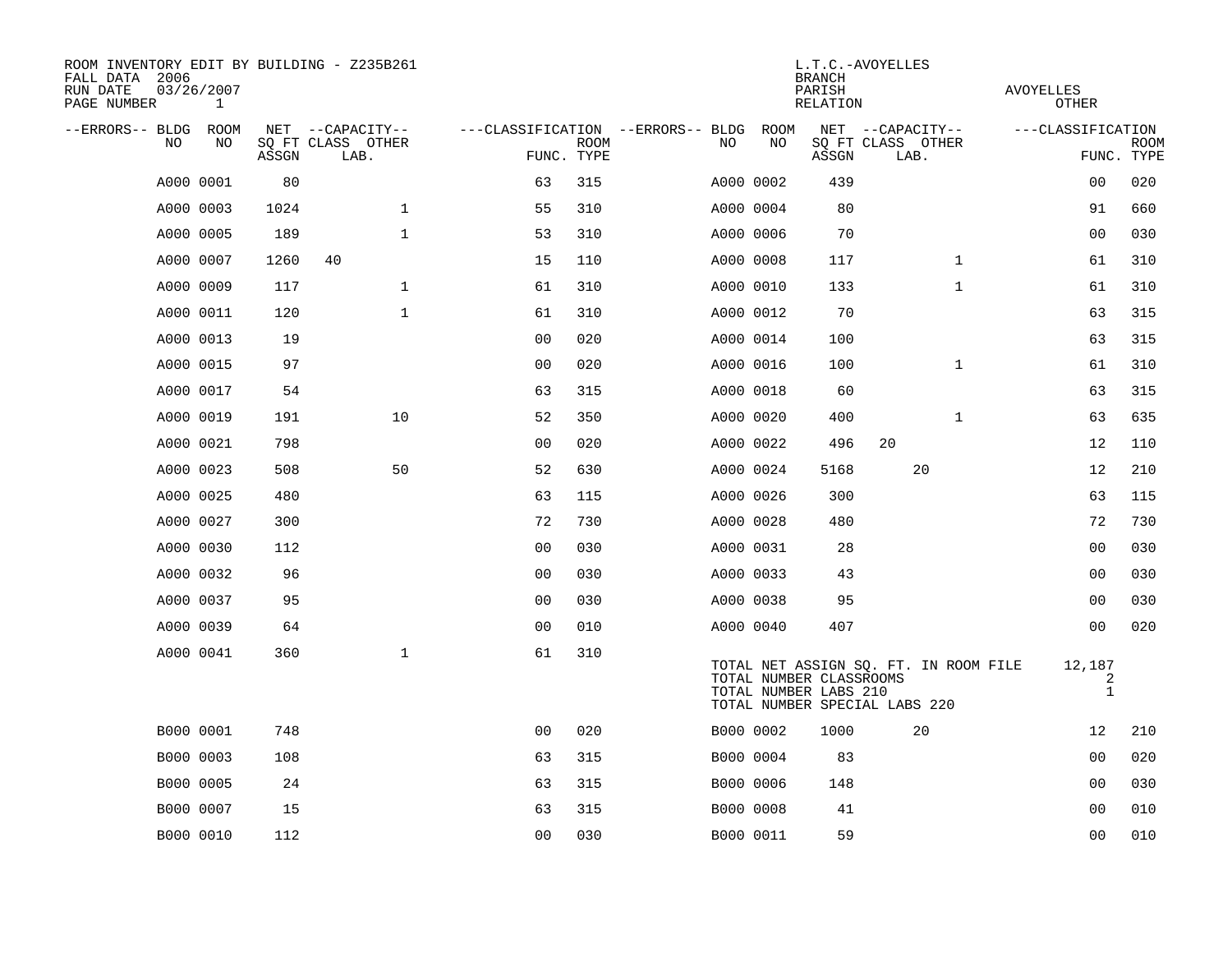| ROOM INVENTORY EDIT BY BUILDING - Z235B261<br>FALL DATA 2006<br>RUN DATE<br>PAGE NUMBER | 03/26/2007<br>$\mathbf{1}$ |       |                           | L.T.C.-AVOYELLES<br><b>BRANCH</b><br>PARISH<br>RELATION |             |  |           |            |                                                  |                                                                        | AVOYELLES<br>OTHER          |             |  |
|-----------------------------------------------------------------------------------------|----------------------------|-------|---------------------------|---------------------------------------------------------|-------------|--|-----------|------------|--------------------------------------------------|------------------------------------------------------------------------|-----------------------------|-------------|--|
| --ERRORS-- BLDG ROOM<br>NO                                                              | NO                         |       | NET --CAPACITY--          | ---CLASSIFICATION --ERRORS-- BLDG                       | <b>ROOM</b> |  | NO        | ROOM<br>NO |                                                  | NET --CAPACITY--                                                       | ---CLASSIFICATION           | <b>ROOM</b> |  |
|                                                                                         |                            | ASSGN | SQ FT CLASS OTHER<br>LAB. | FUNC. TYPE                                              |             |  |           |            | ASSGN                                            | SQ FT CLASS OTHER<br>LAB.                                              |                             | FUNC. TYPE  |  |
|                                                                                         | A000 0001                  | 80    |                           | 63                                                      | 315         |  | A000 0002 |            | 439                                              |                                                                        | 0 <sub>0</sub>              | 020         |  |
|                                                                                         | A000 0003                  | 1024  | $\mathbf 1$               | 55                                                      | 310         |  | A000 0004 |            | 80                                               |                                                                        | 91                          | 660         |  |
|                                                                                         | A000 0005                  | 189   | $\mathbf 1$               | 53                                                      | 310         |  | A000 0006 |            | 70                                               |                                                                        | 00                          | 030         |  |
|                                                                                         | A000 0007                  | 1260  | 40                        | 15                                                      | 110         |  | A000 0008 |            | 117                                              | $\mathbf{1}$                                                           | 61                          | 310         |  |
|                                                                                         | A000 0009                  | 117   | $\mathbf{1}$              | 61                                                      | 310         |  | A000 0010 |            | 133                                              | $\mathbf{1}$                                                           | 61                          | 310         |  |
|                                                                                         | A000 0011                  | 120   | $\mathbf{1}$              | 61                                                      | 310         |  | A000 0012 |            | 70                                               |                                                                        | 63                          | 315         |  |
|                                                                                         | A000 0013                  | 19    |                           | 0 <sub>0</sub>                                          | 020         |  |           | A000 0014  | 100                                              |                                                                        | 63                          | 315         |  |
|                                                                                         | A000 0015                  | 97    |                           | 0 <sub>0</sub>                                          | 020         |  | A000 0016 |            | 100                                              | $\mathbf{1}$                                                           | 61                          | 310         |  |
|                                                                                         | A000 0017                  | 54    |                           | 63                                                      | 315         |  | A000 0018 |            | 60                                               |                                                                        | 63                          | 315         |  |
|                                                                                         | A000 0019                  | 191   | 10                        | 52                                                      | 350         |  | A000 0020 |            | 400                                              | $\mathbf{1}$                                                           | 63                          | 635         |  |
|                                                                                         | A000 0021                  | 798   |                           | 0 <sub>0</sub>                                          | 020         |  | A000 0022 |            | 496                                              | 20                                                                     | 12                          | 110         |  |
|                                                                                         | A000 0023                  | 508   | 50                        | 52                                                      | 630         |  | A000 0024 |            | 5168                                             | 20                                                                     | 12                          | 210         |  |
|                                                                                         | A000 0025                  | 480   |                           | 63                                                      | 115         |  | A000 0026 |            | 300                                              |                                                                        | 63                          | 115         |  |
|                                                                                         | A000 0027                  | 300   |                           | 72                                                      | 730         |  | A000 0028 |            | 480                                              |                                                                        | 72                          | 730         |  |
|                                                                                         | A000 0030                  | 112   |                           | 0 <sub>0</sub>                                          | 030         |  | A000 0031 |            | 28                                               |                                                                        | 00                          | 030         |  |
|                                                                                         | A000 0032                  | 96    |                           | 00                                                      | 030         |  | A000 0033 |            | 43                                               |                                                                        | 00                          | 030         |  |
|                                                                                         | A000 0037                  | 95    |                           | 00                                                      | 030         |  | A000 0038 |            | 95                                               |                                                                        | 0 <sub>0</sub>              | 030         |  |
|                                                                                         | A000 0039                  | 64    |                           | 00                                                      | 010         |  | A000 0040 |            | 407                                              |                                                                        | 00                          | 020         |  |
|                                                                                         | A000 0041                  | 360   | $\mathbf{1}$              | 61                                                      | 310         |  |           |            | TOTAL NUMBER CLASSROOMS<br>TOTAL NUMBER LABS 210 | TOTAL NET ASSIGN SQ. FT. IN ROOM FILE<br>TOTAL NUMBER SPECIAL LABS 220 | 12,187<br>2<br>$\mathbf{1}$ |             |  |
|                                                                                         | B000 0001                  | 748   |                           | 0 <sub>0</sub>                                          | 020         |  | B000 0002 |            | 1000                                             | 20                                                                     | 12                          | 210         |  |
|                                                                                         | B000 0003                  | 108   |                           | 63                                                      | 315         |  |           | B000 0004  | 83                                               |                                                                        | 0 <sub>0</sub>              | 020         |  |
|                                                                                         | B000 0005                  | 24    |                           | 63                                                      | 315         |  | B000 0006 |            | 148                                              |                                                                        | 00                          | 030         |  |
|                                                                                         | B000 0007                  | 15    |                           | 63                                                      | 315         |  | B000 0008 |            | 41                                               |                                                                        | 00                          | 010         |  |
|                                                                                         | B000 0010                  | 112   |                           | 00                                                      | 030         |  | B000 0011 |            | 59                                               |                                                                        | 00                          | 010         |  |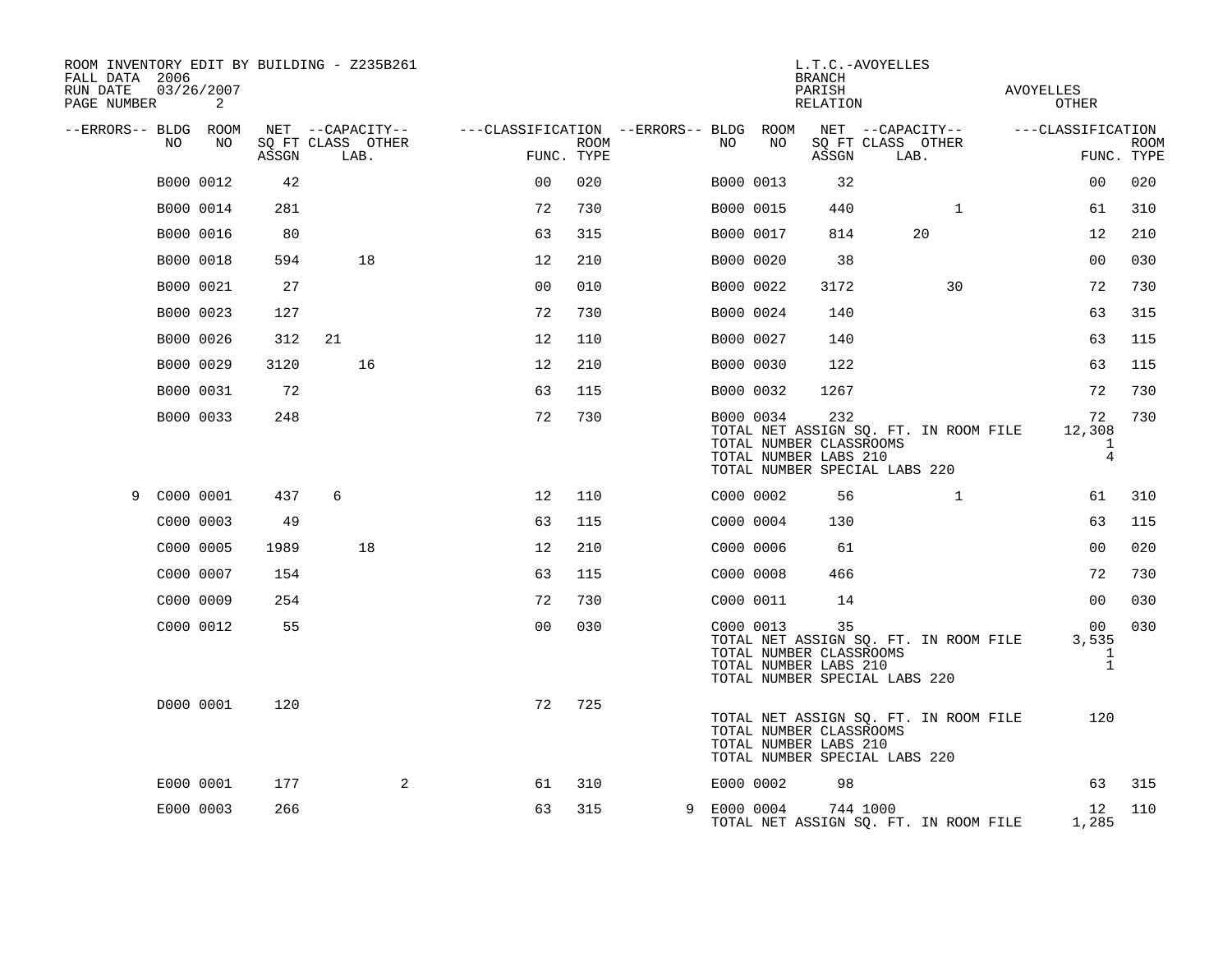| ROOM INVENTORY EDIT BY BUILDING - Z235B261<br>FALL DATA 2006<br>RUN DATE<br>PAGE NUMBER |           | 03/26/2007<br>2 |       |    |                           |                                        |                           |             |           | L.T.C.-AVOYELLES<br><b>BRANCH</b><br>PARISH<br>RELATION                                                                           |                           |              | AVOYELLES<br><b>OTHER</b>                      |                           |
|-----------------------------------------------------------------------------------------|-----------|-----------------|-------|----|---------------------------|----------------------------------------|---------------------------|-------------|-----------|-----------------------------------------------------------------------------------------------------------------------------------|---------------------------|--------------|------------------------------------------------|---------------------------|
| --ERRORS-- BLDG ROOM                                                                    |           |                 |       |    | NET --CAPACITY--          | ---CLASSIFICATION --ERRORS-- BLDG ROOM |                           |             |           |                                                                                                                                   | NET --CAPACITY--          |              | ---CLASSIFICATION                              |                           |
|                                                                                         | NO.       | NO              | ASSGN |    | SQ FT CLASS OTHER<br>LAB. |                                        | <b>ROOM</b><br>FUNC. TYPE | NO          | NO        | ASSGN                                                                                                                             | SQ FT CLASS OTHER<br>LAB. |              |                                                | <b>ROOM</b><br>FUNC. TYPE |
|                                                                                         | B000 0012 |                 | 42    |    |                           | 0 <sub>0</sub>                         | 020                       |             | B000 0013 | 32                                                                                                                                |                           |              | 0 <sub>0</sub>                                 | 020                       |
|                                                                                         | B000 0014 |                 | 281   |    |                           | 72                                     | 730                       | B000 0015   |           | 440                                                                                                                               |                           | $\mathbf{1}$ | 61                                             | 310                       |
|                                                                                         | B000 0016 |                 | 80    |    |                           | 63                                     | 315                       |             | B000 0017 | 814                                                                                                                               |                           | 20           | 12                                             | 210                       |
|                                                                                         | B000 0018 |                 | 594   |    | 18                        | 12                                     | 210                       | B000 0020   |           | 38                                                                                                                                |                           |              | 0 <sub>0</sub>                                 | 030                       |
|                                                                                         | B000 0021 |                 | 27    |    |                           | 0 <sub>0</sub>                         | 010                       | B000 0022   |           | 3172                                                                                                                              |                           | 30           | 72                                             | 730                       |
|                                                                                         | B000 0023 |                 | 127   |    |                           | 72                                     | 730                       |             | B000 0024 | 140                                                                                                                               |                           |              | 63                                             | 315                       |
|                                                                                         | B000 0026 |                 | 312   | 21 |                           | 12                                     | 110                       | B000 0027   |           | 140                                                                                                                               |                           |              | 63                                             | 115                       |
|                                                                                         | B000 0029 |                 | 3120  |    | 16                        | 12                                     | 210                       | B000 0030   |           | 122                                                                                                                               |                           |              | 63                                             | 115                       |
|                                                                                         | B000 0031 |                 | 72    |    |                           | 63                                     | 115                       | B000 0032   |           | 1267                                                                                                                              |                           |              | 72                                             | 730                       |
|                                                                                         | B000 0033 |                 | 248   |    |                           | 72                                     | 730                       |             | B000 0034 | 232<br>TOTAL NET ASSIGN SQ. FT. IN ROOM FILE<br>TOTAL NUMBER CLASSROOMS<br>TOTAL NUMBER LABS 210<br>TOTAL NUMBER SPECIAL LABS 220 |                           |              | 72<br>12,308<br>$\mathbf{1}$<br>$\overline{4}$ | 730                       |
| 9                                                                                       | C000 0001 |                 | 437   | 6  |                           | 12                                     | 110                       |             | C000 0002 | 56                                                                                                                                |                           | $\mathbf{1}$ | 61                                             | 310                       |
|                                                                                         | C000 0003 |                 | 49    |    |                           | 63                                     | 115                       | C000 0004   |           | 130                                                                                                                               |                           |              | 63                                             | 115                       |
|                                                                                         | C000 0005 |                 | 1989  |    | 18                        | 12                                     | 210                       | C000 0006   |           | 61                                                                                                                                |                           |              | 0 <sub>0</sub>                                 | 020                       |
|                                                                                         | C000 0007 |                 | 154   |    |                           | 63                                     | 115                       | C000 0008   |           | 466                                                                                                                               |                           |              | 72                                             | 730                       |
|                                                                                         | C000 0009 |                 | 254   |    |                           | 72                                     | 730                       |             | C000 0011 | 14                                                                                                                                |                           |              | 0 <sub>0</sub>                                 | 030                       |
|                                                                                         | C000 0012 |                 | 55    |    |                           | 0 <sub>0</sub>                         | 030                       |             | C000 0013 | 35<br>TOTAL NET ASSIGN SQ. FT. IN ROOM FILE<br>TOTAL NUMBER CLASSROOMS<br>TOTAL NUMBER LABS 210<br>TOTAL NUMBER SPECIAL LABS 220  |                           |              | 00<br>3,535<br>$\mathbf 1$<br>$\mathbf{1}$     | 030                       |
|                                                                                         | D000 0001 |                 | 120   |    |                           | 72                                     | 725                       |             |           | TOTAL NET ASSIGN SQ. FT. IN ROOM FILE<br>TOTAL NUMBER CLASSROOMS<br>TOTAL NUMBER LABS 210<br>TOTAL NUMBER SPECIAL LABS 220        |                           |              | 120                                            |                           |
|                                                                                         | E000 0001 |                 | 177   |    | 2                         | 61                                     | 310                       |             | E000 0002 | 98                                                                                                                                |                           |              | 63                                             | 315                       |
|                                                                                         | E000 0003 |                 | 266   |    |                           | 63                                     | 315                       | 9 E000 0004 |           | TOTAL NET ASSIGN SQ. FT. IN ROOM FILE                                                                                             | 744 1000                  |              | 12<br>1,285                                    | 110                       |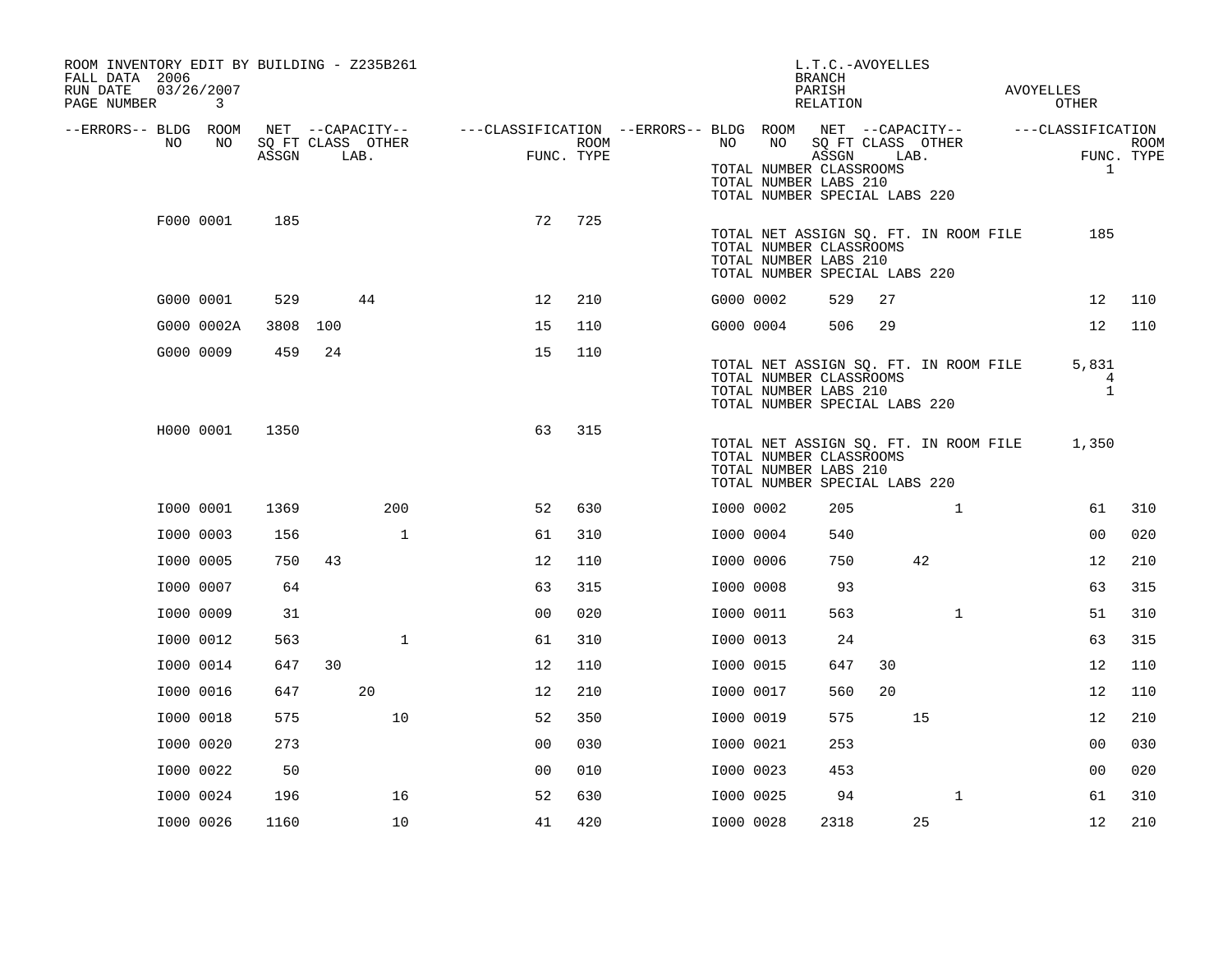| ROOM INVENTORY EDIT BY BUILDING - Z235B261<br>FALL DATA 2006<br>RUN DATE<br>PAGE NUMBER |    | 03/26/2007<br>3 |       |     |                                               |                                                         |                    |  |           |                                                                                         |                            | L.T.C.-AVOYELLES<br><b>BRANCH</b><br>PARISH<br>RELATION |                                       |  |                                      |             |  |
|-----------------------------------------------------------------------------------------|----|-----------------|-------|-----|-----------------------------------------------|---------------------------------------------------------|--------------------|--|-----------|-----------------------------------------------------------------------------------------|----------------------------|---------------------------------------------------------|---------------------------------------|--|--------------------------------------|-------------|--|
| --ERRORS-- BLDG ROOM                                                                    | NO | NO              | ASSGN |     | NET --CAPACITY--<br>SQ FT CLASS OTHER<br>LAB. | ---CLASSIFICATION --ERRORS-- BLDG ROOM NET --CAPACITY-- | ROOM<br>FUNC. TYPE |  | NO        | NO<br>TOTAL NUMBER CLASSROOMS<br>TOTAL NUMBER LABS 210<br>TOTAL NUMBER SPECIAL LABS 220 | SQ FT CLASS OTHER<br>ASSGN | LAB.                                                    |                                       |  | ---CLASSIFICATION<br>FUNC. TYPE<br>1 | <b>ROOM</b> |  |
|                                                                                         |    | F000 0001       | 185   |     |                                               | 72                                                      | 725                |  |           | TOTAL NUMBER CLASSROOMS<br>TOTAL NUMBER LABS 210<br>TOTAL NUMBER SPECIAL LABS 220       |                            |                                                         | TOTAL NET ASSIGN SQ. FT. IN ROOM FILE |  | 185                                  |             |  |
|                                                                                         |    | G000 0001       | 529   |     | 44                                            | 12                                                      | 210                |  | G000 0002 |                                                                                         | 529                        | 27                                                      |                                       |  | 12                                   | 110         |  |
|                                                                                         |    | G000 0002A      | 3808  | 100 |                                               | 15                                                      | 110                |  | G000 0004 |                                                                                         | 506                        | 29                                                      |                                       |  | 12                                   | 110         |  |
|                                                                                         |    | G000 0009       | 459   | 24  |                                               | 15                                                      | 110                |  |           | TOTAL NUMBER CLASSROOMS<br>TOTAL NUMBER LABS 210<br>TOTAL NUMBER SPECIAL LABS 220       |                            |                                                         | TOTAL NET ASSIGN SQ. FT. IN ROOM FILE |  | 5,831<br>4<br>$\mathbf{1}$           |             |  |
|                                                                                         |    | H000 0001       | 1350  |     |                                               | 63                                                      | 315                |  |           | TOTAL NUMBER CLASSROOMS<br>TOTAL NUMBER LABS 210<br>TOTAL NUMBER SPECIAL LABS 220       |                            |                                                         | TOTAL NET ASSIGN SQ. FT. IN ROOM FILE |  | 1,350                                |             |  |
|                                                                                         |    | I000 0001       | 1369  |     | 200                                           | 52                                                      | 630                |  | I000 0002 |                                                                                         | 205                        |                                                         | $\mathbf{1}$                          |  | 61                                   | 310         |  |
|                                                                                         |    | I000 0003       | 156   |     | $\mathbf{1}$                                  | 61                                                      | 310                |  | I000 0004 |                                                                                         | 540                        |                                                         |                                       |  | 0 <sub>0</sub>                       | 020         |  |
|                                                                                         |    | I000 0005       | 750   | 43  |                                               | 12                                                      | 110                |  | I000 0006 |                                                                                         | 750                        |                                                         | 42                                    |  | 12                                   | 210         |  |
|                                                                                         |    | I000 0007       | 64    |     |                                               | 63                                                      | 315                |  | I000 0008 |                                                                                         | 93                         |                                                         |                                       |  | 63                                   | 315         |  |
|                                                                                         |    | I000 0009       | 31    |     |                                               | 0 <sub>0</sub>                                          | 020                |  | I000 0011 |                                                                                         | 563                        |                                                         | $\mathbf{1}$                          |  | 51                                   | 310         |  |
|                                                                                         |    | I000 0012       | 563   |     | $\mathbf{1}$                                  | 61                                                      | 310                |  | I000 0013 |                                                                                         | 24                         |                                                         |                                       |  | 63                                   | 315         |  |
|                                                                                         |    | I000 0014       | 647   | 30  |                                               | 12                                                      | 110                |  | I000 0015 |                                                                                         | 647                        | 30                                                      |                                       |  | 12                                   | 110         |  |
|                                                                                         |    | I000 0016       | 647   |     | 20                                            | 12                                                      | 210                |  | I000 0017 |                                                                                         | 560                        | 20                                                      |                                       |  | 12                                   | 110         |  |
|                                                                                         |    | I000 0018       | 575   |     | 10                                            | 52                                                      | 350                |  | I000 0019 |                                                                                         | 575                        |                                                         | 15                                    |  | 12                                   | 210         |  |
|                                                                                         |    | I000 0020       | 273   |     |                                               | 0 <sub>0</sub>                                          | 030                |  | I000 0021 |                                                                                         | 253                        |                                                         |                                       |  | 00                                   | 030         |  |
|                                                                                         |    | I000 0022       | 50    |     |                                               | 00                                                      | 010                |  | I000 0023 |                                                                                         | 453                        |                                                         |                                       |  | 0 <sub>0</sub>                       | 020         |  |
|                                                                                         |    | I000 0024       | 196   |     | 16                                            | 52                                                      | 630                |  | I000 0025 |                                                                                         | 94                         |                                                         | $\mathbf{1}$                          |  | 61                                   | 310         |  |
|                                                                                         |    | I000 0026       | 1160  |     | 10                                            | 41                                                      | 420                |  | I000 0028 |                                                                                         | 2318                       |                                                         | 25                                    |  | 12                                   | 210         |  |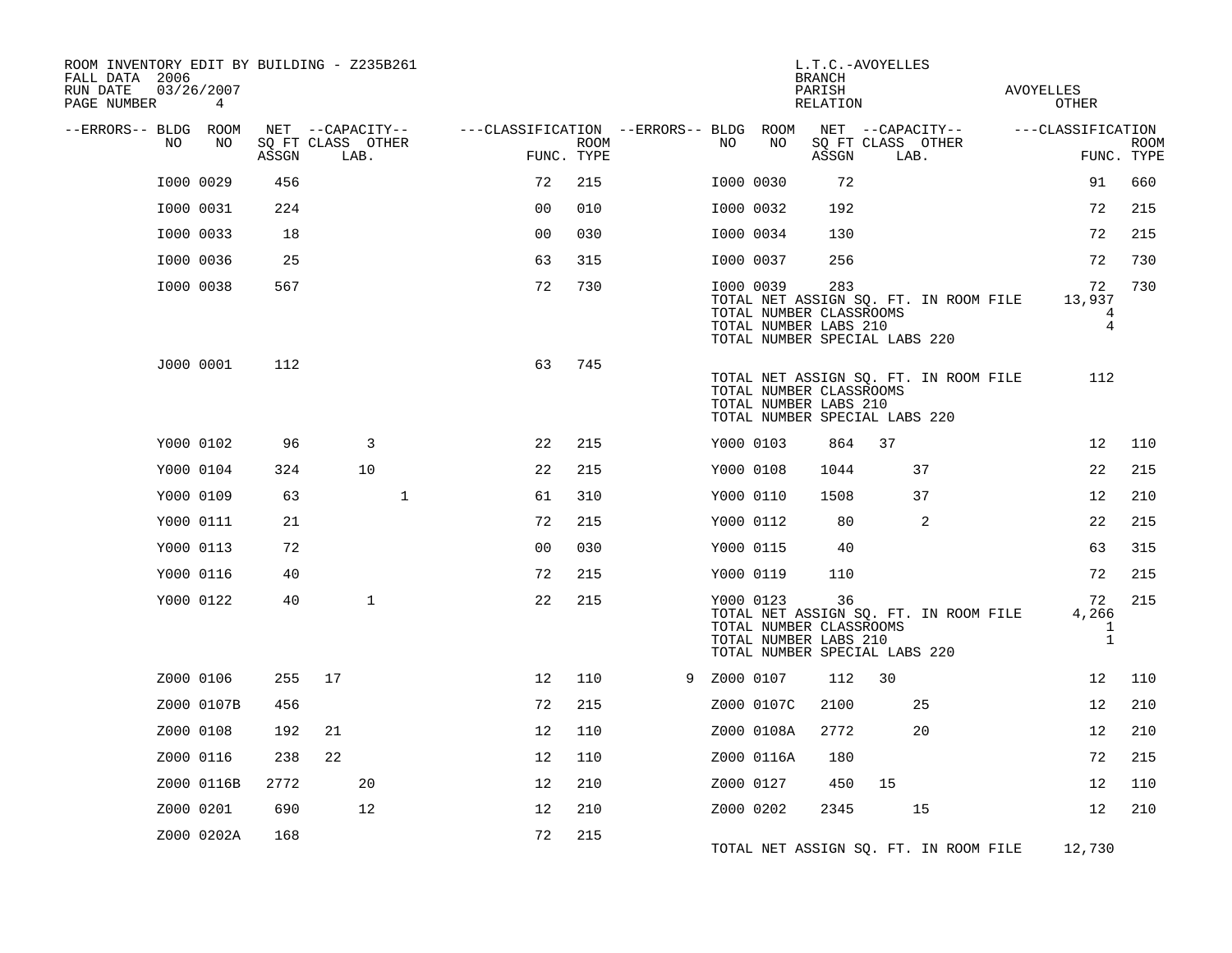| ROOM INVENTORY EDIT BY BUILDING - Z235B261<br>FALL DATA 2006<br>RUN DATE<br>PAGE NUMBER | 03/26/2007<br>4 |       |                           |                                        |                           |             |                                                               | <b>BRANCH</b><br>PARISH<br>RELATION | L.T.C.-AVOYELLES                                                       | AVOYELLES<br>OTHER                  |                           |
|-----------------------------------------------------------------------------------------|-----------------|-------|---------------------------|----------------------------------------|---------------------------|-------------|---------------------------------------------------------------|-------------------------------------|------------------------------------------------------------------------|-------------------------------------|---------------------------|
| --ERRORS-- BLDG ROOM                                                                    |                 |       | NET --CAPACITY--          | ---CLASSIFICATION --ERRORS-- BLDG ROOM |                           |             |                                                               |                                     | NET --CAPACITY--                                                       | ---CLASSIFICATION                   |                           |
| NO                                                                                      | NO              | ASSGN | SQ FT CLASS OTHER<br>LAB. |                                        | <b>ROOM</b><br>FUNC. TYPE | NO          | NO                                                            | ASSGN                               | SQ FT CLASS OTHER<br>LAB.                                              |                                     | <b>ROOM</b><br>FUNC. TYPE |
|                                                                                         | I000 0029       | 456   |                           | 72                                     | 215                       |             | I000 0030                                                     | 72                                  |                                                                        | 91                                  | 660                       |
|                                                                                         | I000 0031       | 224   |                           | 0 <sub>0</sub>                         | 010                       |             | I000 0032                                                     | 192                                 |                                                                        | 72                                  | 215                       |
|                                                                                         | I000 0033       | 18    |                           | 0 <sub>0</sub>                         | 030                       |             | I000 0034                                                     | 130                                 |                                                                        | 72                                  | 215                       |
|                                                                                         | I000 0036       | 25    |                           | 63                                     | 315                       |             | I000 0037                                                     | 256                                 |                                                                        | 72                                  | 730                       |
|                                                                                         | I000 0038       | 567   |                           | 72                                     | 730                       |             | I000 0039<br>TOTAL NUMBER CLASSROOMS<br>TOTAL NUMBER LABS 210 | 283                                 | TOTAL NET ASSIGN SQ. FT. IN ROOM FILE<br>TOTAL NUMBER SPECIAL LABS 220 | 72<br>13,937<br>4<br>4              | 730                       |
|                                                                                         | J000 0001       | 112   |                           | 63                                     | 745                       |             | TOTAL NUMBER CLASSROOMS<br>TOTAL NUMBER LABS 210              |                                     | TOTAL NET ASSIGN SQ. FT. IN ROOM FILE<br>TOTAL NUMBER SPECIAL LABS 220 | 112                                 |                           |
|                                                                                         | Y000 0102       | 96    | 3                         | 22                                     | 215                       |             | Y000 0103                                                     | 864                                 | 37                                                                     | 12                                  | 110                       |
|                                                                                         | Y000 0104       | 324   | 10                        | 22                                     | 215                       |             | Y000 0108                                                     | 1044                                | 37                                                                     | 22                                  | 215                       |
|                                                                                         | Y000 0109       | 63    | $\mathbf{1}$              | 61                                     | 310                       |             | Y000 0110                                                     | 1508                                | 37                                                                     | 12                                  | 210                       |
|                                                                                         | Y000 0111       | 21    |                           | 72                                     | 215                       |             | Y000 0112                                                     | 80                                  | 2                                                                      | 22                                  | 215                       |
|                                                                                         | Y000 0113       | 72    |                           | 0 <sub>0</sub>                         | 030                       |             | Y000 0115                                                     | 40                                  |                                                                        | 63                                  | 315                       |
|                                                                                         | Y000 0116       | 40    |                           | 72                                     | 215                       |             | Y000 0119                                                     | 110                                 |                                                                        | 72                                  | 215                       |
|                                                                                         | Y000 0122       | 40    | $\mathbf{1}$              | 22                                     | 215                       |             | Y000 0123<br>TOTAL NUMBER CLASSROOMS<br>TOTAL NUMBER LABS 210 | 36                                  | TOTAL NET ASSIGN SQ. FT. IN ROOM FILE<br>TOTAL NUMBER SPECIAL LABS 220 | 72<br>4,266<br>$\mathbf 1$<br>$1\,$ | 215                       |
|                                                                                         | Z000 0106       | 255   | 17                        | 12                                     | 110                       | 9 Z000 0107 |                                                               | 112                                 | 30                                                                     | 12                                  | 110                       |
|                                                                                         | Z000 0107B      | 456   |                           | 72                                     | 215                       |             | Z000 0107C                                                    | 2100                                | 25                                                                     | 12                                  | 210                       |
|                                                                                         | Z000 0108       | 192   | 21                        | 12                                     | 110                       |             | Z000 0108A                                                    | 2772                                | 20                                                                     | 12                                  | 210                       |
|                                                                                         | Z000 0116       | 238   | 22                        | 12                                     | 110                       |             | Z000 0116A                                                    | 180                                 |                                                                        | 72                                  | 215                       |
|                                                                                         | Z000 0116B      | 2772  | 20                        | 12                                     | 210                       |             | Z000 0127                                                     | 450                                 | 15                                                                     | 12                                  | 110                       |
|                                                                                         | Z000 0201       | 690   | 12                        | 12                                     | 210                       |             | Z000 0202                                                     | 2345                                | 15                                                                     | 12                                  | 210                       |
|                                                                                         | Z000 0202A      | 168   |                           | 72                                     | 215                       |             |                                                               |                                     | TOTAL NET ASSIGN SQ. FT. IN ROOM FILE                                  | 12,730                              |                           |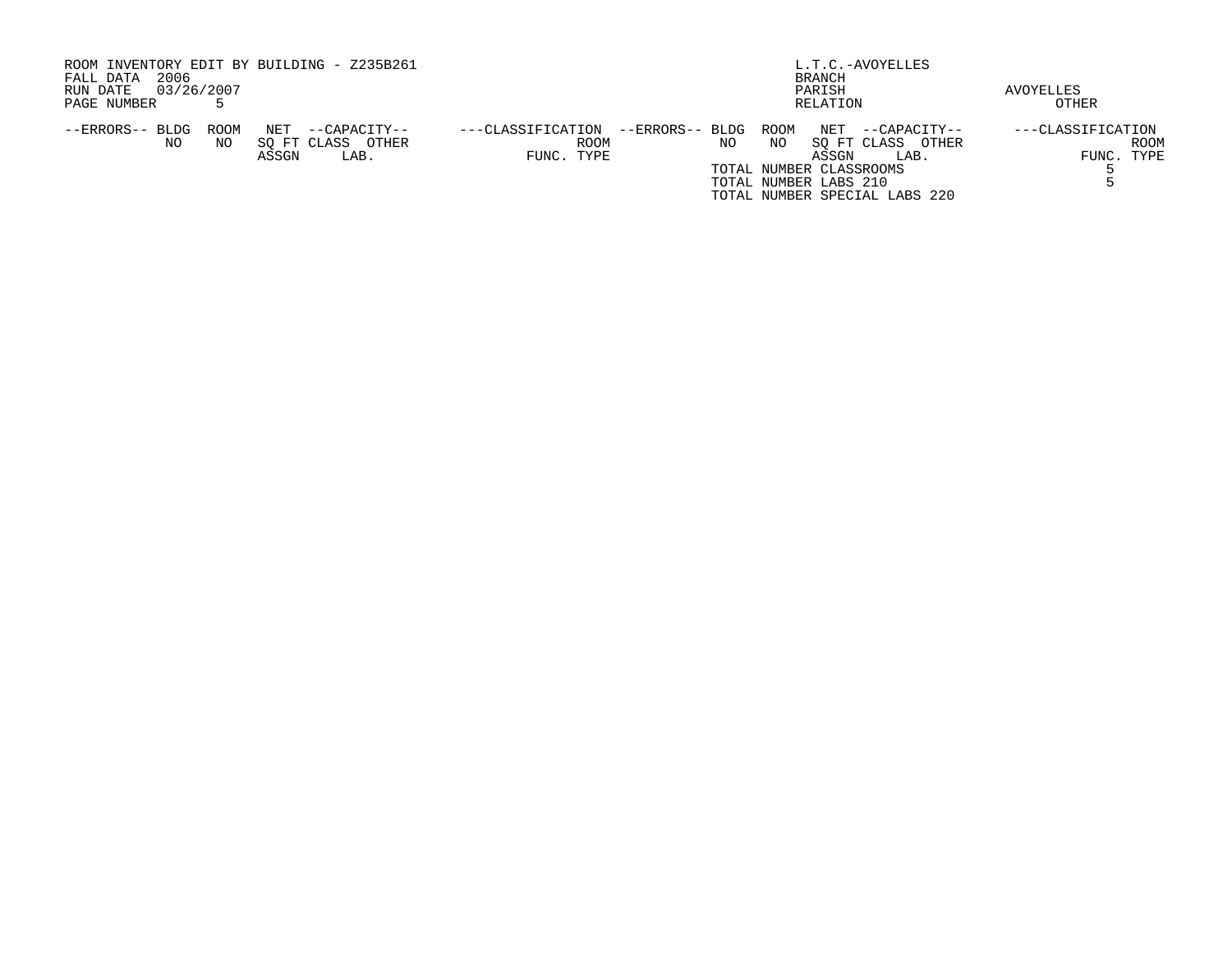| ROOM INVENTORY EDIT BY BUILDING - Z235B261     |                                           | L.T.C.-AVOYELLES              |                   |
|------------------------------------------------|-------------------------------------------|-------------------------------|-------------------|
| 2006<br>FALL DATA                              |                                           | BRANCH                        |                   |
| 03/26/2007<br>RUN DATE                         |                                           | PARISH                        | AVOYELLES         |
| PAGE NUMBER                                    |                                           | RELATION                      | OTHER             |
| ROOM<br>--ERRORS-- BLDG<br>NET<br>--CAPACITY-- | --ERRORS-- BLDG ROOM<br>---CLASSIFICATION | NET<br>--CAPACITY--           | ---CLASSIFICATION |
| SO FT CLASS<br>OTHER<br>NO.<br>NO              | <b>ROOM</b><br>NO                         | SO FT CLASS OTHER<br>NO       | ROOM              |
| ASSGN<br>LAB.                                  | FUNC. TYPE                                | ASSGN<br>LAB.                 | FUNC. TYPE        |
|                                                |                                           | TOTAL NUMBER CLASSROOMS       |                   |
|                                                |                                           | TOTAL NUMBER LABS 210         |                   |
|                                                |                                           | TOTAL NUMBER SPECIAL LABS 220 |                   |